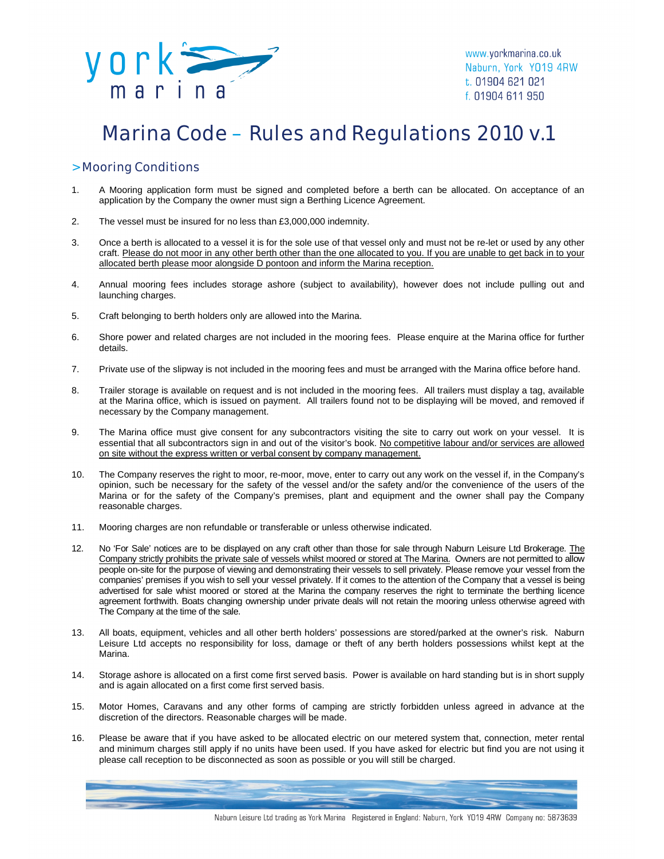

# Marina Code – Rules and Regulations 2010 v.1

### > Mooring Conditions

- 1. A Mooring application form must be signed and completed before a berth can be allocated. On acceptance of an application by the Company the owner must sign a Berthing Licence Agreement.
- 2. The vessel must be insured for no less than £3,000,000 indemnity.
- 3. Once a berth is allocated to a vessel it is for the sole use of that vessel only and must not be re-let or used by any other craft. Please do not moor in any other berth other than the one allocated to you. If you are unable to get back in to your allocated berth please moor alongside D pontoon and inform the Marina reception.
- 4. Annual mooring fees includes storage ashore (subject to availability), however does not include pulling out and launching charges.
- 5. Craft belonging to berth holders only are allowed into the Marina.
- 6. Shore power and related charges are not included in the mooring fees. Please enquire at the Marina office for further details.
- 7. Private use of the slipway is not included in the mooring fees and must be arranged with the Marina office before hand.
- 8. Trailer storage is available on request and is not included in the mooring fees. All trailers must display a tag, available at the Marina office, which is issued on payment. All trailers found not to be displaying will be moved, and removed if necessary by the Company management.
- 9. The Marina office must give consent for any subcontractors visiting the site to carry out work on your vessel. It is essential that all subcontractors sign in and out of the visitor's book. No competitive labour and/or services are allowed on site without the express written or verbal consent by company management.
- 10. The Company reserves the right to moor, re-moor, move, enter to carry out any work on the vessel if, in the Company's opinion, such be necessary for the safety of the vessel and/or the safety and/or the convenience of the users of the Marina or for the safety of the Company's premises, plant and equipment and the owner shall pay the Company reasonable charges.
- 11. Mooring charges are non refundable or transferable or unless otherwise indicated.
- 12. No 'For Sale' notices are to be displayed on any craft other than those for sale through Naburn Leisure Ltd Brokerage. The Company strictly prohibits the private sale of vessels whilst moored or stored at The Marina. Owners are not permitted to allow people on-site for the purpose of viewing and demonstrating their vessels to sell privately. Please remove your vessel from the companies' premises if you wish to sell your vessel privately. If it comes to the attention of the Company that a vessel is being advertised for sale whist moored or stored at the Marina the company reserves the right to terminate the berthing licence agreement forthwith. Boats changing ownership under private deals will not retain the mooring unless otherwise agreed with The Company at the time of the sale.
- 13. All boats, equipment, vehicles and all other berth holders' possessions are stored/parked at the owner's risk. Naburn Leisure Ltd accepts no responsibility for loss, damage or theft of any berth holders possessions whilst kept at the Marina.
- 14. Storage ashore is allocated on a first come first served basis. Power is available on hard standing but is in short supply and is again allocated on a first come first served basis.
- 15. Motor Homes, Caravans and any other forms of camping are strictly forbidden unless agreed in advance at the discretion of the directors. Reasonable charges will be made.
- 16. Please be aware that if you have asked to be allocated electric on our metered system that, connection, meter rental and minimum charges still apply if no units have been used. If you have asked for electric but find you are not using it please call reception to be disconnected as soon as possible or you will still be charged.

Naburn Leisure Ltd trading as York Marina Registered in England: Naburn, York Y019 4RW Company no: 5873639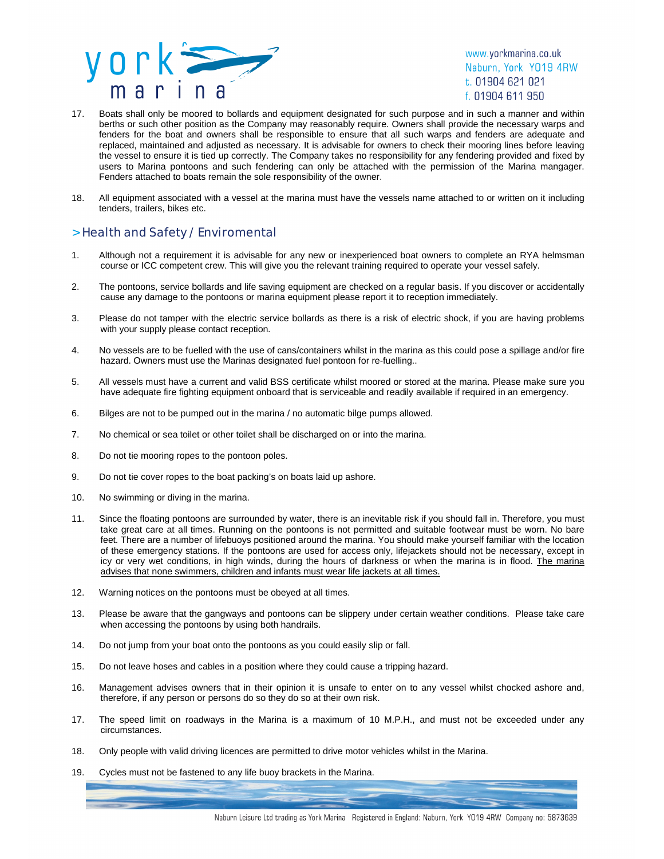

www.yorkmarina.co.uk Naburn, York YO19 4RW t. 01904 621 021 f. 01904 611 950

- 17. Boats shall only be moored to bollards and equipment designated for such purpose and in such a manner and within berths or such other position as the Company may reasonably require. Owners shall provide the necessary warps and fenders for the boat and owners shall be responsible to ensure that all such warps and fenders are adequate and replaced, maintained and adjusted as necessary. It is advisable for owners to check their mooring lines before leaving the vessel to ensure it is tied up correctly. The Company takes no responsibility for any fendering provided and fixed by users to Marina pontoons and such fendering can only be attached with the permission of the Marina mangager. Fenders attached to boats remain the sole responsibility of the owner.
- 18. All equipment associated with a vessel at the marina must have the vessels name attached to or written on it including tenders, trailers, bikes etc.

## > Health and Safety / Enviromental

- 1. Although not a requirement it is advisable for any new or inexperienced boat owners to complete an RYA helmsman course or ICC competent crew. This will give you the relevant training required to operate your vessel safely.
- 2. The pontoons, service bollards and life saving equipment are checked on a regular basis. If you discover or accidentally cause any damage to the pontoons or marina equipment please report it to reception immediately.
- 3. Please do not tamper with the electric service bollards as there is a risk of electric shock, if you are having problems with your supply please contact reception.
- 4. No vessels are to be fuelled with the use of cans/containers whilst in the marina as this could pose a spillage and/or fire hazard. Owners must use the Marinas designated fuel pontoon for re-fuelling..
- 5. All vessels must have a current and valid BSS certificate whilst moored or stored at the marina. Please make sure you have adequate fire fighting equipment onboard that is serviceable and readily available if required in an emergency.
- 6. Bilges are not to be pumped out in the marina / no automatic bilge pumps allowed.
- 7. No chemical or sea toilet or other toilet shall be discharged on or into the marina.
- 8. Do not tie mooring ropes to the pontoon poles.
- 9. Do not tie cover ropes to the boat packing's on boats laid up ashore.
- 10. No swimming or diving in the marina.
- 11. Since the floating pontoons are surrounded by water, there is an inevitable risk if you should fall in. Therefore, you must take great care at all times. Running on the pontoons is not permitted and suitable footwear must be worn. No bare feet. There are a number of lifebuoys positioned around the marina. You should make yourself familiar with the location of these emergency stations. If the pontoons are used for access only, lifejackets should not be necessary, except in icy or very wet conditions, in high winds, during the hours of darkness or when the marina is in flood. The marina advises that none swimmers, children and infants must wear life jackets at all times.
- 12. Warning notices on the pontoons must be obeyed at all times.
- 13. Please be aware that the gangways and pontoons can be slippery under certain weather conditions. Please take care when accessing the pontoons by using both handrails.
- 14. Do not jump from your boat onto the pontoons as you could easily slip or fall.
- 15. Do not leave hoses and cables in a position where they could cause a tripping hazard.
- 16. Management advises owners that in their opinion it is unsafe to enter on to any vessel whilst chocked ashore and, therefore, if any person or persons do so they do so at their own risk.
- 17. The speed limit on roadways in the Marina is a maximum of 10 M.P.H., and must not be exceeded under any circumstances.
- 18. Only people with valid driving licences are permitted to drive motor vehicles whilst in the Marina.
- 19. Cycles must not be fastened to any life buoy brackets in the Marina.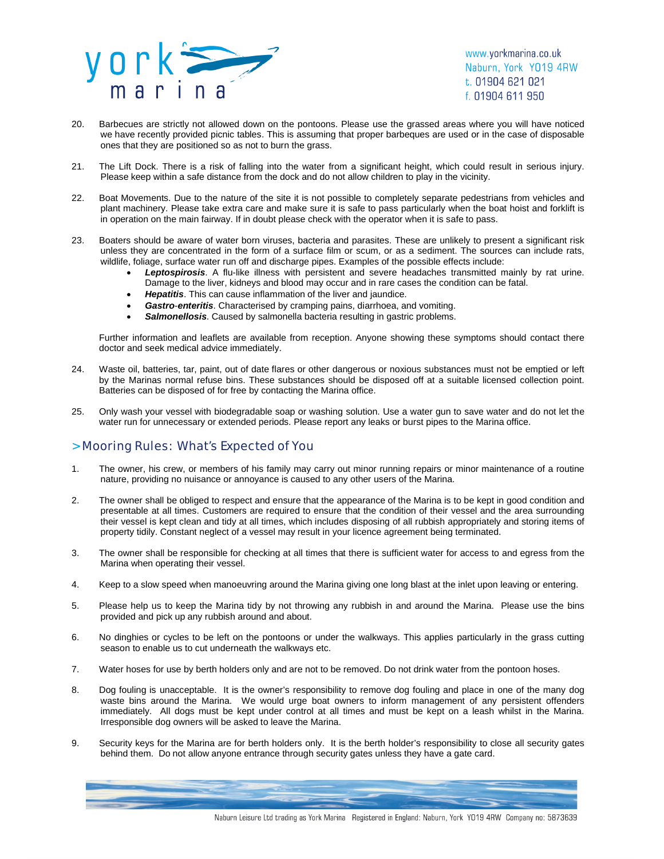

www.yorkmarina.co.uk Naburn, York YO19 4RW t. 01904 621 021 f. 01904 611 950

- 20. Barbecues are strictly not allowed down on the pontoons. Please use the grassed areas where you will have noticed we have recently provided picnic tables. This is assuming that proper barbeques are used or in the case of disposable ones that they are positioned so as not to burn the grass.
- 21. The Lift Dock. There is a risk of falling into the water from a significant height, which could result in serious injury. Please keep within a safe distance from the dock and do not allow children to play in the vicinity.
- 22. Boat Movements. Due to the nature of the site it is not possible to completely separate pedestrians from vehicles and plant machinery. Please take extra care and make sure it is safe to pass particularly when the boat hoist and forklift is in operation on the main fairway. If in doubt please check with the operator when it is safe to pass.
- 23. Boaters should be aware of water born viruses, bacteria and parasites. These are unlikely to present a significant risk unless they are concentrated in the form of a surface film or scum, or as a sediment. The sources can include rats, wildlife, foliage, surface water run off and discharge pipes. Examples of the possible effects include:
	- *Leptospirosis*. A flu-like illness with persistent and severe headaches transmitted mainly by rat urine. Damage to the liver, kidneys and blood may occur and in rare cases the condition can be fatal.
	- *Hepatitis*. This can cause inflammation of the liver and jaundice.
	- *Gastro*-*enteritis*. Characterised by cramping pains, diarrhoea, and vomiting.
	- *Salmonellosis*. Caused by salmonella bacteria resulting in gastric problems.

Further information and leaflets are available from reception. Anyone showing these symptoms should contact there doctor and seek medical advice immediately.

- 24. Waste oil, batteries, tar, paint, out of date flares or other dangerous or noxious substances must not be emptied or left by the Marinas normal refuse bins. These substances should be disposed off at a suitable licensed collection point. Batteries can be disposed of for free by contacting the Marina office.
- 25. Only wash your vessel with biodegradable soap or washing solution. Use a water gun to save water and do not let the water run for unnecessary or extended periods. Please report any leaks or burst pipes to the Marina office.

#### > Mooring Rules: What's Expected of You

- 1. The owner, his crew, or members of his family may carry out minor running repairs or minor maintenance of a routine nature, providing no nuisance or annoyance is caused to any other users of the Marina.
- 2. The owner shall be obliged to respect and ensure that the appearance of the Marina is to be kept in good condition and presentable at all times. Customers are required to ensure that the condition of their vessel and the area surrounding their vessel is kept clean and tidy at all times, which includes disposing of all rubbish appropriately and storing items of property tidily. Constant neglect of a vessel may result in your licence agreement being terminated.
- 3. The owner shall be responsible for checking at all times that there is sufficient water for access to and egress from the Marina when operating their vessel.
- 4. Keep to a slow speed when manoeuvring around the Marina giving one long blast at the inlet upon leaving or entering.
- 5. Please help us to keep the Marina tidy by not throwing any rubbish in and around the Marina. Please use the bins provided and pick up any rubbish around and about.
- 6. No dinghies or cycles to be left on the pontoons or under the walkways. This applies particularly in the grass cutting season to enable us to cut underneath the walkways etc.
- 7. Water hoses for use by berth holders only and are not to be removed. Do not drink water from the pontoon hoses.
- 8. Dog fouling is unacceptable. It is the owner's responsibility to remove dog fouling and place in one of the many dog waste bins around the Marina. We would urge boat owners to inform management of any persistent offenders immediately. All dogs must be kept under control at all times and must be kept on a leash whilst in the Marina. Irresponsible dog owners will be asked to leave the Marina.
- 9. Security keys for the Marina are for berth holders only. It is the berth holder's responsibility to close all security gates behind them. Do not allow anyone entrance through security gates unless they have a gate card.